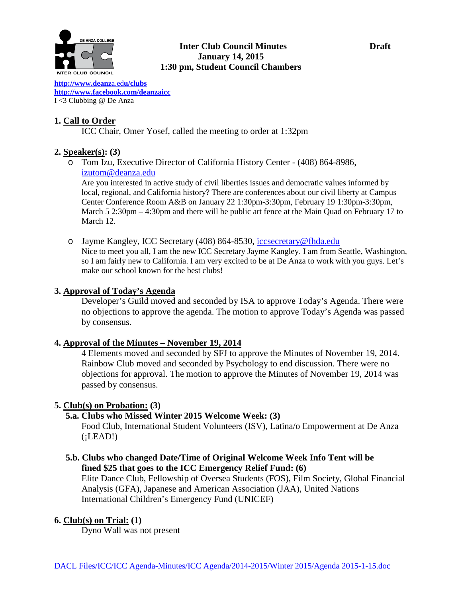

## **Inter Club Council Minutes Draft January 14, 2015 1:30 pm, Student Council Chambers**

**[http://www.deanz](http://www.deanza.edu/clubs)**a.ed**u/clubs [http://www.facebook.com/deanzaicc](http://www.facebook.com/home.php%23!/group.php?gid=59034552686)** I <3 Clubbing @ De Anza

## **1. Call to Order**

ICC Chair, Omer Yosef, called the meeting to order at 1:32pm

## **2. Speaker(s): (3)**

o Tom Izu, Executive Director of California History Center - (408) 864-8986, [izutom@deanza.edu](mailto:izutom@deanza.edu)

Are you interested in active study of civil liberties issues and democratic values informed by local, regional, and California history? There are conferences about our civil liberty at Campus Center Conference Room A&B on January 22 1:30pm-3:30pm, February 19 1:30pm-3:30pm, March 5 2:30pm – 4:30pm and there will be public art fence at the Main Quad on February 17 to March 12.

o Jayme Kangley, ICC Secretary (408) 864-8530, [iccsecretary@fhda.edu](mailto:iccsecretary@fhda.edu) Nice to meet you all, I am the new ICC Secretary Jayme Kangley. I am from Seattle, Washington, so I am fairly new to California. I am very excited to be at De Anza to work with you guys. Let's make our school known for the best clubs!

## **3. Approval of Today's Agenda**

Developer's Guild moved and seconded by ISA to approve Today's Agenda. There were no objections to approve the agenda. The motion to approve Today's Agenda was passed by consensus.

## **4. Approval of the Minutes – November 19, 2014**

4 Elements moved and seconded by SFJ to approve the Minutes of November 19, 2014. Rainbow Club moved and seconded by Psychology to end discussion. There were no objections for approval. The motion to approve the Minutes of November 19, 2014 was passed by consensus.

## **5. Club(s) on Probation: (3)**

## **5.a. Clubs who Missed Winter 2015 Welcome Week: (3)**

Food Club, International Student Volunteers (ISV), Latina/o Empowerment at De Anza  $(iLEAD!)$ 

 **5.b. Clubs who changed Date/Time of Original Welcome Week Info Tent will be fined \$25 that goes to the ICC Emergency Relief Fund: (6)**

Elite Dance Club, Fellowship of Oversea Students (FOS), Film Society, Global Financial Analysis (GFA), Japanese and American Association (JAA), United Nations International Children's Emergency Fund (UNICEF)

## **6. Club(s) on Trial: (1)**

Dyno Wall was not present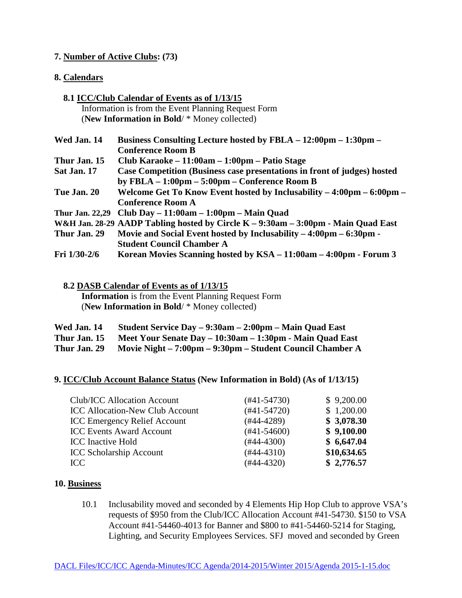## **7. Number of Active Clubs: (73)**

## **8. Calendars**

|                        | 8.1 ICC/Club Calendar of Events as of 1/13/15                                                                                          |
|------------------------|----------------------------------------------------------------------------------------------------------------------------------------|
|                        | Information is from the Event Planning Request Form                                                                                    |
|                        | (New Information in Bold/ * Money collected)                                                                                           |
| <b>Wed Jan. 14</b>     | Business Consulting Lecture hosted by FBLA – 12:00pm – 1:30pm –<br><b>Conference Room B</b>                                            |
| Thur Jan. 15           | Club Karaoke – 11:00am – 1:00pm – Patio Stage                                                                                          |
| Sat Jan. 17            | <b>Case Competition (Business case presentations in front of judges) hosted</b><br>by FBLA $-1:00$ pm $-5:00$ pm $-$ Conference Room B |
| <b>Tue Jan. 20</b>     | Welcome Get To Know Event hosted by Inclusability $-4:00 \text{pm} - 6:00 \text{pm} -$<br><b>Conference Room A</b>                     |
| <b>Thur Jan. 22,29</b> | Club Day $-11:00am - 1:00pm - Main Quad$                                                                                               |
|                        | W&H Jan. 28-29 AADP Tabling hosted by Circle K – 9:30am – 3:00pm - Main Quad East                                                      |
| Thur Jan. 29           | Movie and Social Event hosted by Inclusability $-4:00 \text{pm} - 6:30 \text{pm} -$<br><b>Student Council Chamber A</b>                |
| Fri 1/30-2/6           | Korean Movies Scanning hosted by KSA – 11:00am – 4:00pm - Forum 3                                                                      |

 **8.2 DASB Calendar of Events as of 1/13/15 Information** is from the Event Planning Request Form (**New Information in Bold**/ \* Money collected)

| Wed Jan. 14  | Student Service Day – 9:30am – 2:00pm – Main Quad East    |
|--------------|-----------------------------------------------------------|
| Thur Jan. 15 | Meet Your Senate Day – 10:30am – 1:30pm - Main Quad East  |
| Thur Jan. 29 | Movie Night – 7:00pm – 9:30pm – Student Council Chamber A |

## **9. ICC/Club Account Balance Status (New Information in Bold) (As of 1/13/15)**

| $(#41-54730)$ | \$9,200.00  |
|---------------|-------------|
| $(#41-54720)$ | \$1,200.00  |
| $(#44-4289)$  | \$3,078.30  |
| $(#41-54600)$ | \$9,100.00  |
| $(#44-4300)$  | \$6,647.04  |
| $(#44-4310)$  | \$10,634.65 |
| $(#44-4320)$  | \$2,776.57  |
|               |             |

## **10. Business**

10.1 Inclusability moved and seconded by 4 Elements Hip Hop Club to approve VSA's requests of \$950 from the Club/ICC Allocation Account #41-54730. \$150 to VSA Account #41-54460-4013 for Banner and \$800 to #41-54460-5214 for Staging, Lighting, and Security Employees Services. SFJ moved and seconded by Green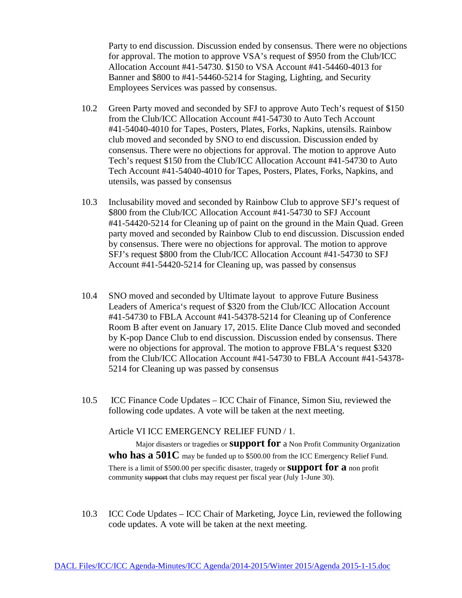Party to end discussion. Discussion ended by consensus. There were no objections for approval. The motion to approve VSA's request of \$950 from the Club/ICC Allocation Account #41-54730. \$150 to VSA Account #41-54460-4013 for Banner and \$800 to #41-54460-5214 for Staging, Lighting, and Security Employees Services was passed by consensus.

- 10.2 Green Party moved and seconded by SFJ to approve Auto Tech's request of \$150 from the Club/ICC Allocation Account #41-54730 to Auto Tech Account #41-54040-4010 for Tapes, Posters, Plates, Forks, Napkins, utensils. Rainbow club moved and seconded by SNO to end discussion. Discussion ended by consensus. There were no objections for approval. The motion to approve Auto Tech's request \$150 from the Club/ICC Allocation Account #41-54730 to Auto Tech Account #41-54040-4010 for Tapes, Posters, Plates, Forks, Napkins, and utensils, was passed by consensus
- 10.3 Inclusability moved and seconded by Rainbow Club to approve SFJ's request of \$800 from the Club/ICC Allocation Account #41-54730 to SFJ Account #41-54420-5214 for Cleaning up of paint on the ground in the Main Quad. Green party moved and seconded by Rainbow Club to end discussion. Discussion ended by consensus. There were no objections for approval. The motion to approve SFJ's request \$800 from the Club/ICC Allocation Account #41-54730 to SFJ Account #41-54420-5214 for Cleaning up, was passed by consensus
- 10.4 SNO moved and seconded by Ultimate layout to approve Future Business Leaders of America's request of \$320 from the Club/ICC Allocation Account #41-54730 to FBLA Account #41-54378-5214 for Cleaning up of Conference Room B after event on January 17, 2015. Elite Dance Club moved and seconded by K-pop Dance Club to end discussion. Discussion ended by consensus. There were no objections for approval. The motion to approve FBLA's request \$320 from the Club/ICC Allocation Account #41-54730 to FBLA Account #41-54378- 5214 for Cleaning up was passed by consensus
- 10.5 ICC Finance Code Updates ICC Chair of Finance, Simon Siu, reviewed the following code updates. A vote will be taken at the next meeting.

Article VI ICC EMERGENCY RELIEF FUND / 1.

Major disasters or tragedies or **support for** a Non Profit Community Organization **who has a 501C** may be funded up to \$500.00 from the ICC Emergency Relief Fund. There is a limit of \$500.00 per specific disaster, tragedy or **support for a** non profit community support that clubs may request per fiscal year (July 1-June 30).

10.3 ICC Code Updates – ICC Chair of Marketing, Joyce Lin, reviewed the following code updates. A vote will be taken at the next meeting.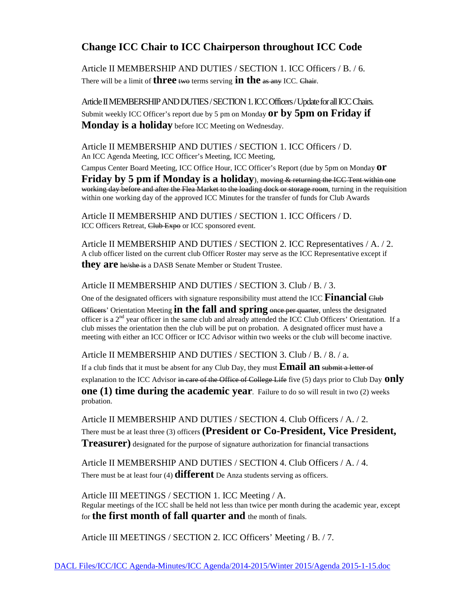# **Change ICC Chair to ICC Chairperson throughout ICC Code**

Article II MEMBERSHIP AND DUTIES / SECTION 1. ICC Officers / B. / 6. There will be a limit of **three** two terms serving **in the** as any ICC. Chair.

Article II MEMBERSHIP AND DUTIES / SECTION 1. ICC Officers / Update for all ICC Chairs. Submit weekly ICC Officer's report due by 5 pm on Monday **or by 5pm on Friday if Monday is a holiday** before ICC Meeting on Wednesday.

Article II MEMBERSHIP AND DUTIES / SECTION 1. ICC Officers / D. An ICC Agenda Meeting, ICC Officer's Meeting, ICC Meeting,

Campus Center Board Meeting, ICC Office Hour, ICC Officer's Report (due by 5pm on Monday **or Friday by 5 pm if Monday is a holiday**), moving & returning the ICC Tent within one working day before and after the Flea Market to the loading dock or storage room, turning in the requisition within one working day of the approved ICC Minutes for the transfer of funds for Club Awards

Article II MEMBERSHIP AND DUTIES / SECTION 1. ICC Officers / D. ICC Officers Retreat, Club Expo or ICC sponsored event.

Article II MEMBERSHIP AND DUTIES / SECTION 2. ICC Representatives / A. / 2. A club officer listed on the current club Officer Roster may serve as the ICC Representative except if **they are** he/she is a DASB Senate Member or Student Trustee.

Article II MEMBERSHIP AND DUTIES / SECTION 3. Club / B. / 3.

One of the designated officers with signature responsibility must attend the ICC **Financial** Club

Officers' Orientation Meeting **in the fall and spring** once per quarter, unless the designated officer is a 2<sup>nd</sup> year officer in the same club and already attended the ICC Club Officers' Orientation. If a club misses the orientation then the club will be put on probation. A designated officer must have a meeting with either an ICC Officer or ICC Advisor within two weeks or the club will become inactive.

Article II MEMBERSHIP AND DUTIES / SECTION 3. Club / B. / 8. / a.

If a club finds that it must be absent for any Club Day, they must **Email an** submit a letter of

explanation to the ICC Advisor in care of the Office of College Life five (5) days prior to Club Day **only** 

**one (1) time during the academic year**. Failure to do so will result in two (2) weeks probation.

Article II MEMBERSHIP AND DUTIES / SECTION 4. Club Officers / A. / 2. There must be at least three (3) officers **(President or Co-President, Vice President, Treasurer)** designated for the purpose of signature authorization for financial transactions

Article II MEMBERSHIP AND DUTIES / SECTION 4. Club Officers / A. / 4. There must be at least four (4) **different** De Anza students serving as officers.

Article III MEETINGS / SECTION 1. ICC Meeting / A. Regular meetings of the ICC shall be held not less than twice per month during the academic year, except for **the first month of fall quarter and** the month of finals.

Article III MEETINGS / SECTION 2. ICC Officers' Meeting / B. / 7.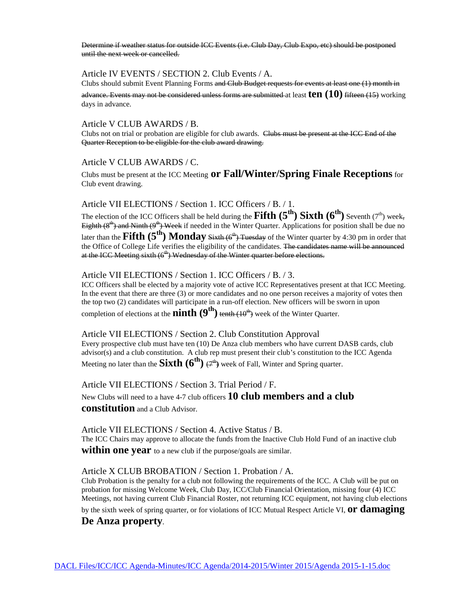Determine if weather status for outside ICC Events (i.e. Club Day, Club Expo, etc) should be postponed until the next week or cancelled.

## Article IV EVENTS / SECTION 2. Club Events / A.

Clubs should submit Event Planning Forms and Club Budget requests for events at least one (1) month in advance. Events may not be considered unless forms are submitted at least **ten (10)** fifteen (15) working days in advance.

#### Article V CLUB AWARDS / B.

Clubs not on trial or probation are eligible for club awards. Clubs must be present at the ICC End of the Quarter Reception to be eligible for the club award drawing.

#### Article V CLUB AWARDS / C.

Clubs must be present at the ICC Meeting **or Fall/Winter/Spring Finale Receptions**for Club event drawing.

#### Article VII ELECTIONS / Section 1. ICC Officers / B. / 1.

The election of the ICC Officers shall be held during the **Fifth**  $(5^{th})$  **Sixth**  $(6^{th})$  Seventh (7<sup>th</sup>) week, Eighth  $(8<sup>th</sup>)$  and Ninth  $(9<sup>th</sup>)$  Week if needed in the Winter Quarter. Applications for position shall be due no later than the **Fifth (5<sup>th</sup>) Monday** Sixth (6<sup>th</sup>) Tuesday of the Winter quarter by 4:30 pm in order that the Office of College Life verifies the eligibility of the candidates. The candidates name will be announced at the ICC Meeting sixth  $(6<sup>th</sup>)$  Wednesday of the Winter quarter before elections.

#### Article VII ELECTIONS / Section 1. ICC Officers / B. / 3.

ICC Officers shall be elected by a majority vote of active ICC Representatives present at that ICC Meeting. In the event that there are three (3) or more candidates and no one person receives a majority of votes then the top two (2) candidates will participate in a run-off election. New officers will be sworn in upon completion of elections at the **ninth**  $(9<sup>th</sup>)$  tenth  $(10<sup>th</sup>)$  week of the Winter Quarter.

#### Article VII ELECTIONS / Section 2. Club Constitution Approval

Every prospective club must have ten (10) De Anza club members who have current DASB cards, club advisor(s) and a club constitution. A club rep must present their club's constitution to the ICC Agenda Meeting no later than the **Sixth**  $(6^{th})$   $\varphi^{th}$  week of Fall, Winter and Spring quarter.

Article VII ELECTIONS / Section 3. Trial Period / F.

New Clubs will need to a have 4-7 club officers **10 club members and a club constitution** and a Club Advisor.

Article VII ELECTIONS / Section 4. Active Status / B. The ICC Chairs may approve to allocate the funds from the Inactive Club Hold Fund of an inactive club **within one year** to a new club if the purpose/goals are similar.

Article X CLUB BROBATION / Section 1. Probation / A.

Club Probation is the penalty for a club not following the requirements of the ICC. A Club will be put on probation for missing Welcome Week, Club Day, ICC/Club Financial Orientation, missing four (4) ICC Meetings, not having current Club Financial Roster, not returning ICC equipment, not having club elections

by the sixth week of spring quarter, or for violations of ICC Mutual Respect Article VI, **or damaging** 

### **De Anza property**.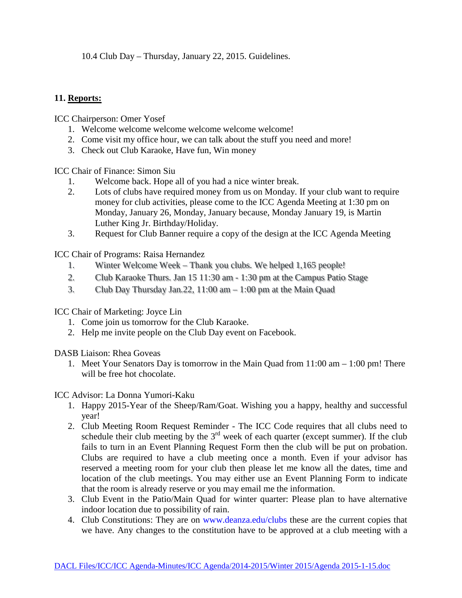10.4 Club Day – Thursday, January 22, 2015. Guidelines.

## **11. Reports:**

ICC Chairperson: Omer Yosef

- 1. Welcome welcome welcome welcome welcome welcome!
- 2. Come visit my office hour, we can talk about the stuff you need and more!
- 3. Check out Club Karaoke, Have fun, Win money

ICC Chair of Finance: Simon Siu

- 1. Welcome back. Hope all of you had a nice winter break.
- 2. Lots of clubs have required money from us on Monday. If your club want to require money for club activities, please come to the ICC Agenda Meeting at 1:30 pm on Monday, January 26, Monday, January because, Monday January 19, is Martin Luther King Jr. Birthday/Holiday.
- 3. Request for Club Banner require a copy of the design at the ICC Agenda Meeting

ICC Chair of Programs: Raisa Hernandez

- 1. Winter Welcome Week Thank you clubs. We helped 1,165 people!
- 2. Club Karaoke Thurs. Jan 15 11:30 am 1:30 pm at the Campus Patio Stage
- 3. Club Day Thursday Jan.22, 11:00 am 1:00 pm at the Main Quad

ICC Chair of Marketing: Joyce Lin

- 1. Come join us tomorrow for the Club Karaoke.
- 2. Help me invite people on the Club Day event on Facebook.

DASB Liaison: Rhea Goveas

1. Meet Your Senators Day is tomorrow in the Main Quad from 11:00 am – 1:00 pm! There will be free hot chocolate.

ICC Advisor: La Donna Yumori-Kaku

- 1. Happy 2015-Year of the Sheep/Ram/Goat. Wishing you a happy, healthy and successful year!
- 2. Club Meeting Room Request Reminder The ICC Code requires that all clubs need to schedule their club meeting by the  $3<sup>rd</sup>$  week of each quarter (except summer). If the club fails to turn in an Event Planning Request Form then the club will be put on probation. Clubs are required to have a club meeting once a month. Even if your advisor has reserved a meeting room for your club then please let me know all the dates, time and location of the club meetings. You may either use an Event Planning Form to indicate that the room is already reserve or you may email me the information.
- 3. Club Event in the Patio/Main Quad for winter quarter: Please plan to have alternative indoor location due to possibility of rain.
- 4. Club Constitutions: They are on [www.deanza.edu/clubs](http://www.deanza.edu/clubs) these are the current copies that we have. Any changes to the constitution have to be approved at a club meeting with a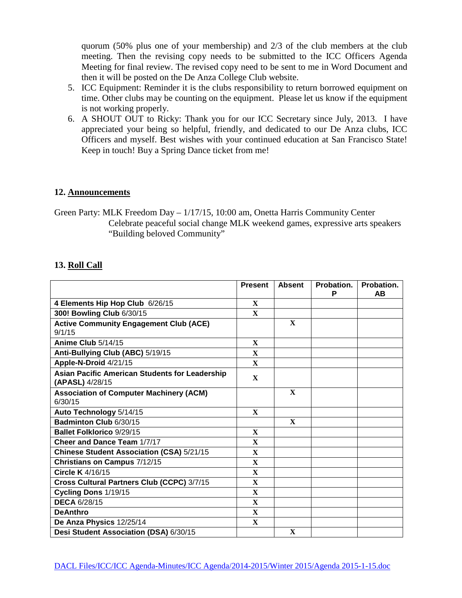quorum (50% plus one of your membership) and 2/3 of the club members at the club meeting. Then the revising copy needs to be submitted to the ICC Officers Agenda Meeting for final review. The revised copy need to be sent to me in Word Document and then it will be posted on the De Anza College Club website.

- 5. ICC Equipment: Reminder it is the clubs responsibility to return borrowed equipment on time. Other clubs may be counting on the equipment. Please let us know if the equipment is not working properly.
- 6. A SHOUT OUT to Ricky: Thank you for our ICC Secretary since July, 2013. I have appreciated your being so helpful, friendly, and dedicated to our De Anza clubs, ICC Officers and myself. Best wishes with your continued education at San Francisco State! Keep in touch! Buy a Spring Dance ticket from me!

## **12. Announcements**

Green Party: MLK Freedom Day – 1/17/15, 10:00 am, Onetta Harris Community Center Celebrate peaceful social change MLK weekend games, expressive arts speakers "Building beloved Community"

## **13. Roll Call**

|                                                                          | <b>Present</b> | <b>Absent</b> | Probation.<br>P | Probation.<br>AВ |
|--------------------------------------------------------------------------|----------------|---------------|-----------------|------------------|
| 4 Elements Hip Hop Club 6/26/15                                          | $\mathbf{x}$   |               |                 |                  |
| 300! Bowling Club 6/30/15                                                | $\mathbf{X}$   |               |                 |                  |
| <b>Active Community Engagement Club (ACE)</b><br>9/1/15                  |                | $\mathbf{X}$  |                 |                  |
| Anime Club 5/14/15                                                       | $\mathbf{X}$   |               |                 |                  |
| Anti-Bullying Club (ABC) 5/19/15                                         | $\mathbf{x}$   |               |                 |                  |
| Apple-N-Droid 4/21/15                                                    | $\mathbf{x}$   |               |                 |                  |
| <b>Asian Pacific American Students for Leadership</b><br>(APASL) 4/28/15 | $\mathbf{X}$   |               |                 |                  |
| <b>Association of Computer Machinery (ACM)</b><br>6/30/15                |                | $\mathbf{X}$  |                 |                  |
| Auto Technology 5/14/15                                                  | $\mathbf{x}$   |               |                 |                  |
| Badminton Club 6/30/15                                                   |                | $\mathbf{X}$  |                 |                  |
| <b>Ballet Folklorico 9/29/15</b>                                         | $\mathbf{X}$   |               |                 |                  |
| Cheer and Dance Team 1/7/17                                              | $\mathbf{X}$   |               |                 |                  |
| Chinese Student Association (CSA) 5/21/15                                | $\mathbf{X}$   |               |                 |                  |
| Christians on Campus 7/12/15                                             | $\mathbf X$    |               |                 |                  |
| <b>Circle K</b> 4/16/15                                                  | $\mathbf{X}$   |               |                 |                  |
| Cross Cultural Partners Club (CCPC) 3/7/15                               | $\mathbf{X}$   |               |                 |                  |
| Cycling Dons 1/19/15                                                     | $\mathbf{x}$   |               |                 |                  |
| <b>DECA 6/28/15</b>                                                      | $\mathbf{x}$   |               |                 |                  |
| <b>DeAnthro</b>                                                          | $\mathbf{X}$   |               |                 |                  |
| De Anza Physics 12/25/14                                                 | $\mathbf{x}$   |               |                 |                  |
| Desi Student Association (DSA) 6/30/15                                   |                | $\mathbf{X}$  |                 |                  |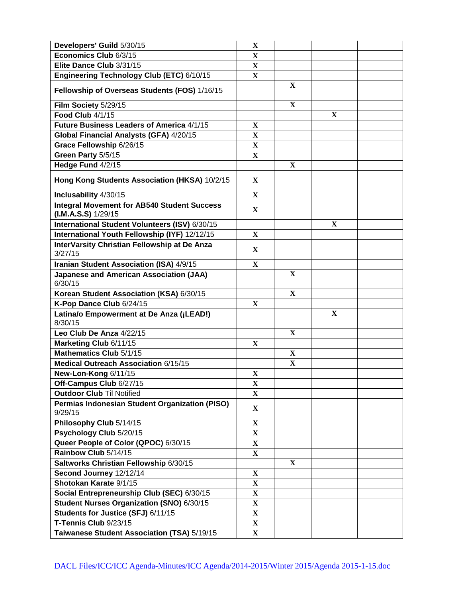| Developers' Guild 5/30/15                                                     | X                            |              |              |  |
|-------------------------------------------------------------------------------|------------------------------|--------------|--------------|--|
| Economics Club 6/3/15                                                         | $\overline{\mathbf{X}}$      |              |              |  |
| Elite Dance Club 3/31/15                                                      | $\mathbf X$                  |              |              |  |
| Engineering Technology Club (ETC) 6/10/15                                     | $\mathbf{X}$                 |              |              |  |
| Fellowship of Overseas Students (FOS) 1/16/15                                 |                              | $\mathbf{X}$ |              |  |
| Film Society 5/29/15                                                          |                              | $\mathbf X$  |              |  |
| <b>Food Club 4/1/15</b>                                                       |                              |              | $\mathbf{X}$ |  |
| Future Business Leaders of America 4/1/15                                     | $\mathbf X$                  |              |              |  |
| Global Financial Analysts (GFA) 4/20/15                                       | $\mathbf{X}$                 |              |              |  |
| Grace Fellowship 6/26/15                                                      | $\mathbf X$                  |              |              |  |
| Green Party 5/5/15                                                            | $\mathbf{X}$                 |              |              |  |
| Hedge Fund 4/2/15                                                             |                              | $\mathbf{X}$ |              |  |
| Hong Kong Students Association (HKSA) 10/2/15                                 | $\mathbf{X}$                 |              |              |  |
| Inclusability 4/30/15                                                         | $\mathbf{X}$                 |              |              |  |
| <b>Integral Movement for AB540 Student Success</b><br>$(I.M.A.S.S)$ $1/29/15$ | X                            |              |              |  |
| International Student Volunteers (ISV) 6/30/15                                |                              |              | $\mathbf{X}$ |  |
| International Youth Fellowship (IYF) 12/12/15                                 | $\mathbf X$                  |              |              |  |
| InterVarsity Christian Fellowship at De Anza<br>3/27/15                       | $\mathbf{X}$                 |              |              |  |
| Iranian Student Association (ISA) 4/9/15                                      | $\mathbf{X}$                 |              |              |  |
| <b>Japanese and American Association (JAA)</b><br>6/30/15                     |                              | $\mathbf{X}$ |              |  |
| Korean Student Association (KSA) 6/30/15                                      |                              | $\mathbf{X}$ |              |  |
| K-Pop Dance Club 6/24/15                                                      | $\mathbf X$                  |              |              |  |
| Latina/o Empowerment at De Anza (¡LEAD!)<br>8/30/15                           |                              |              | $\mathbf X$  |  |
| Leo Club De Anza 4/22/15                                                      |                              | $\mathbf{X}$ |              |  |
| Marketing Club 6/11/15                                                        | $\mathbf{X}$                 |              |              |  |
| Mathematics Club 5/1/15                                                       |                              | X            |              |  |
| Medical Outreach Association 6/15/15                                          |                              | $\mathbf X$  |              |  |
| New-Lon-Kong 6/11/15                                                          | $\mathbf X$                  |              |              |  |
| Off-Campus Club 6/27/15                                                       | $\mathbf X$                  |              |              |  |
| <b>Outdoor Club Til Notified</b>                                              | $\mathbf X$                  |              |              |  |
| Permias Indonesian Student Organization (PISO)                                |                              |              |              |  |
| 9/29/15                                                                       | $\mathbf{X}$                 |              |              |  |
| Philosophy Club 5/14/15                                                       | $\mathbf X$                  |              |              |  |
| Psychology Club 5/20/15                                                       | $\mathbf{X}$                 |              |              |  |
| Queer People of Color (QPOC) 6/30/15                                          | $\mathbf X$                  |              |              |  |
| Rainbow Club 5/14/15                                                          | $\mathbf{X}$                 |              |              |  |
| Saltworks Christian Fellowship 6/30/15                                        |                              | $\mathbf{X}$ |              |  |
| Second Journey 12/12/14                                                       | $\mathbf{X}$                 |              |              |  |
| Shotokan Karate 9/1/15                                                        | $\mathbf X$                  |              |              |  |
| Social Entrepreneurship Club (SEC) 6/30/15                                    | $\mathbf X$                  |              |              |  |
| Student Nurses Organization (SNO) 6/30/15                                     | $\mathbf X$                  |              |              |  |
| Students for Justice (SFJ) 6/11/15                                            | $\mathbf X$                  |              |              |  |
| T-Tennis Club 9/23/15<br>Taiwanese Student Association (TSA) 5/19/15          | $\mathbf{X}$<br>$\mathbf{X}$ |              |              |  |